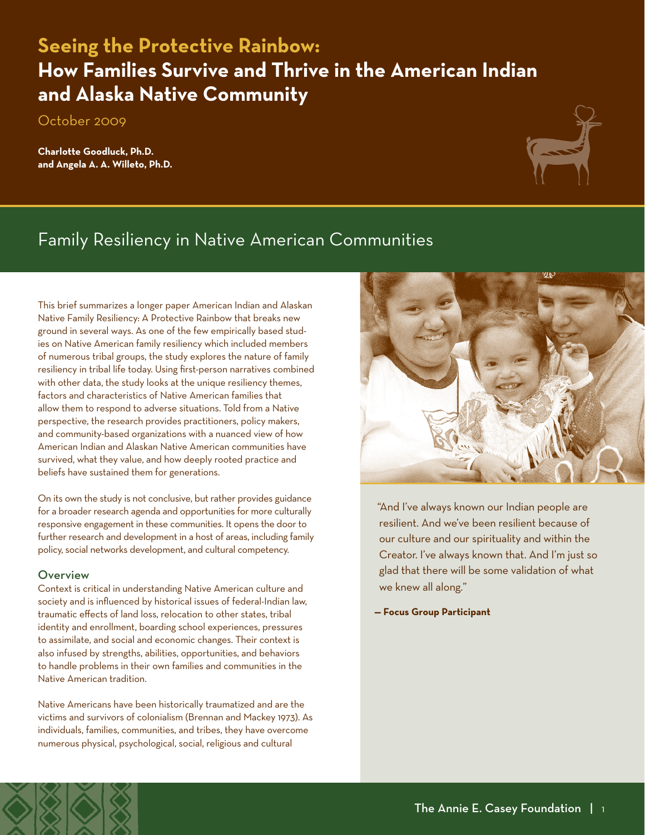# **Seeing the Protective Rainbow** October 2009 **Seeing the Protective Rainbow: How Families Survive and Thrive in the American Indian and Alaska Native Community**

October 2009

**Charlotte Goodluck, Ph.D. and Angela A. A. Willeto, Ph.D.**



## Family Resiliency in Native American Communities

This brief summarizes a longer paper American Indian and Alaskan Native Family Resiliency: A Protective Rainbow that breaks new ground in several ways. As one of the few empirically based studies on Native American family resiliency which included members of numerous tribal groups, the study explores the nature of family resiliency in tribal life today. Using first-person narratives combined with other data, the study looks at the unique resiliency themes, factors and characteristics of Native American families that allow them to respond to adverse situations. Told from a Native perspective, the research provides practitioners, policy makers, and community-based organizations with a nuanced view of how American Indian and Alaskan Native American communities have survived, what they value, and how deeply rooted practice and beliefs have sustained them for generations.

On its own the study is not conclusive, but rather provides guidance for a broader research agenda and opportunities for more culturally responsive engagement in these communities. It opens the door to further research and development in a host of areas, including family policy, social networks development, and cultural competency.

### **Overview**

Context is critical in understanding Native American culture and society and is influenced by historical issues of federal-Indian law, traumatic effects of land loss, relocation to other states, tribal identity and enrollment, boarding school experiences, pressures to assimilate, and social and economic changes. Their context is also infused by strengths, abilities, opportunities, and behaviors to handle problems in their own families and communities in the Native American tradition.

Native Americans have been historically traumatized and are the victims and survivors of colonialism (Brennan and Mackey 1973). As individuals, families, communities, and tribes, they have overcome numerous physical, psychological, social, religious and cultural



"And I've always known our Indian people are resilient. And we've been resilient because of our culture and our spirituality and within the Creator. I've always known that. And I'm just so glad that there will be some validation of what we knew all along."

**— Focus Group Participant**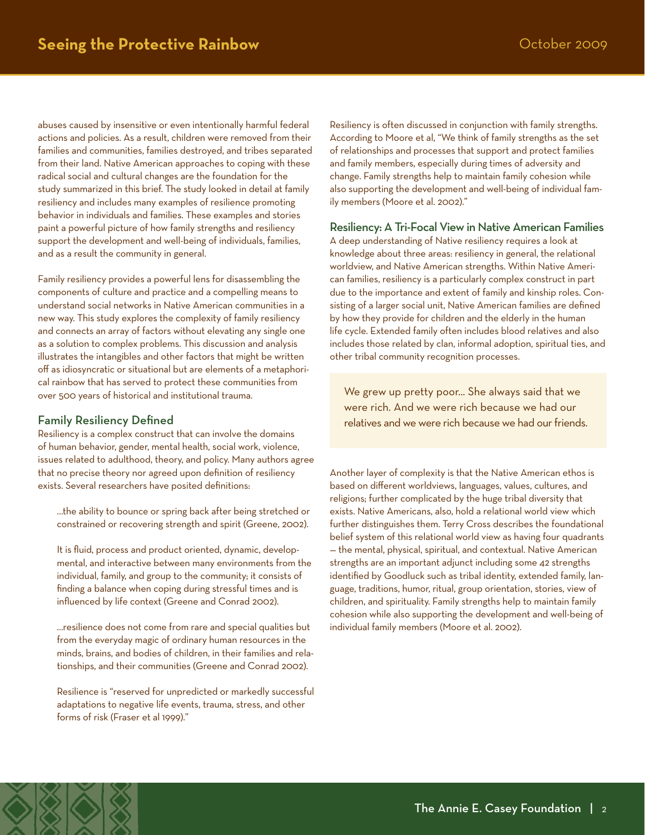abuses caused by insensitive or even intentionally harmful federal actions and policies. As a result, children were removed from their families and communities, families destroyed, and tribes separated from their land. Native American approaches to coping with these radical social and cultural changes are the foundation for the study summarized in this brief. The study looked in detail at family resiliency and includes many examples of resilience promoting behavior in individuals and families. These examples and stories paint a powerful picture of how family strengths and resiliency support the development and well-being of individuals, families, and as a result the community in general.

Family resiliency provides a powerful lens for disassembling the components of culture and practice and a compelling means to understand social networks in Native American communities in a new way. This study explores the complexity of family resiliency and connects an array of factors without elevating any single one as a solution to complex problems. This discussion and analysis illustrates the intangibles and other factors that might be written off as idiosyncratic or situational but are elements of a metaphorical rainbow that has served to protect these communities from over 500 years of historical and institutional trauma.

### Family Resiliency Defined

Resiliency is a complex construct that can involve the domains of human behavior, gender, mental health, social work, violence, issues related to adulthood, theory, and policy. Many authors agree that no precise theory nor agreed upon definition of resiliency exists. Several researchers have posited definitions:

…the ability to bounce or spring back after being stretched or constrained or recovering strength and spirit (Greene, 2002).

It is fluid, process and product oriented, dynamic, developmental, and interactive between many environments from the individual, family, and group to the community; it consists of finding a balance when coping during stressful times and is influenced by life context (Greene and Conrad 2002).

…resilience does not come from rare and special qualities but from the everyday magic of ordinary human resources in the minds, brains, and bodies of children, in their families and relationships, and their communities (Greene and Conrad 2002).

Resilience is "reserved for unpredicted or markedly successful adaptations to negative life events, trauma, stress, and other forms of risk (Fraser et al 1999)."

Resiliency is often discussed in conjunction with family strengths. According to Moore et al, "We think of family strengths as the set of relationships and processes that support and protect families and family members, especially during times of adversity and change. Family strengths help to maintain family cohesion while also supporting the development and well-being of individual family members (Moore et al. 2002)."

### Resiliency: A Tri-Focal View in Native American Families

A deep understanding of Native resiliency requires a look at knowledge about three areas: resiliency in general, the relational worldview, and Native American strengths. Within Native American families, resiliency is a particularly complex construct in part due to the importance and extent of family and kinship roles. Consisting of a larger social unit, Native American families are defined by how they provide for children and the elderly in the human life cycle. Extended family often includes blood relatives and also includes those related by clan, informal adoption, spiritual ties, and other tribal community recognition processes.

We grew up pretty poor... She always said that we were rich. And we were rich because we had our relatives and we were rich because we had our friends.

Another layer of complexity is that the Native American ethos is based on different worldviews, languages, values, cultures, and religions; further complicated by the huge tribal diversity that exists. Native Americans, also, hold a relational world view which further distinguishes them. Terry Cross describes the foundational belief system of this relational world view as having four quadrants — the mental, physical, spiritual, and contextual. Native American strengths are an important adjunct including some 42 strengths identified by Goodluck such as tribal identity, extended family, language, traditions, humor, ritual, group orientation, stories, view of children, and spirituality. Family strengths help to maintain family cohesion while also supporting the development and well-being of individual family members (Moore et al. 2002).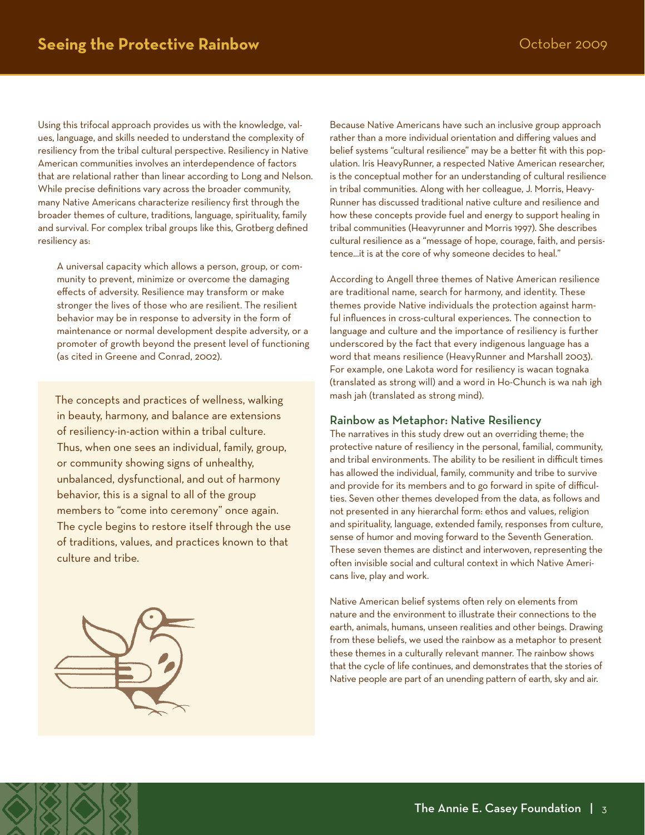Using this trifocal approach provides us with the knowledge, values, language, and skills needed to understand the complexity of resiliency from the tribal cultural perspective. Resiliency in Native American communities involves an interdependence of factors that are relational rather than linear according to Long and Nelson. While precise definitions vary across the broader community, many Native Americans characterize resiliency first through the broader themes of culture, traditions, language, spirituality, family and survival. For complex tribal groups like this, Grotberg defined resiliency as:

A universal capacity which allows a person, group, or community to prevent, minimize or overcome the damaging effects of adversity. Resilience may transform or make stronger the lives of those who are resilient. The resilient behavior may be in response to adversity in the form of maintenance or normal development despite adversity, or a promoter of growth beyond the present level of functioning (as cited in Greene and Conrad, 2002).

The concepts and practices of wellness, walking in beauty, harmony, and balance are extensions of resiliency-in-action within a tribal culture. Thus, when one sees an individual, family, group, or community showing signs of unhealthy, unbalanced, dysfunctional, and out of harmony behavior, this is a signal to all of the group members to "come into ceremony" once again. The cycle begins to restore itself through the use of traditions, values, and practices known to that culture and tribe.



Because Native Americans have such an inclusive group approach rather than a more individual orientation and differing values and belief systems "cultural resilience" may be a better fit with this population. Iris HeavyRunner, a respected Native American researcher, is the conceptual mother for an understanding of cultural resilience in tribal communities. Along with her colleague, J. Morris, Heavy-Runner has discussed traditional native culture and resilience and how these concepts provide fuel and energy to support healing in tribal communities (Heavyrunner and Morris 1997). She describes cultural resilience as a "message of hope, courage, faith, and persistence...it is at the core of why someone decides to heal."

According to Angell three themes of Native American resilience are traditional name, search for harmony, and identity. These themes provide Native individuals the protection against harmful influences in cross-cultural experiences. The connection to language and culture and the importance of resiliency is further underscored by the fact that every indigenous language has a word that means resilience (HeavyRunner and Marshall 2003). For example, one Lakota word for resiliency is wacan tognaka (translated as strong will) and a word in Ho-Chunch is wa nah igh mash jah (translated as strong mind).

#### Rainbow as Metaphor: Native Resiliency

The narratives in this study drew out an overriding theme; the protective nature of resiliency in the personal, familial, community, and tribal environments. The ability to be resilient in difficult times has allowed the individual, family, community and tribe to survive and provide for its members and to go forward in spite of difficulties. Seven other themes developed from the data, as follows and not presented in any hierarchal form: ethos and values, religion and spirituality, language, extended family, responses from culture, sense of humor and moving forward to the Seventh Generation. These seven themes are distinct and interwoven, representing the often invisible social and cultural context in which Native Americans live, play and work.

Native American belief systems often rely on elements from nature and the environment to illustrate their connections to the earth, animals, humans, unseen realities and other beings. Drawing from these beliefs, we used the rainbow as a metaphor to present these themes in a culturally relevant manner. The rainbow shows that the cycle of life continues, and demonstrates that the stories of Native people are part of an unending pattern of earth, sky and air.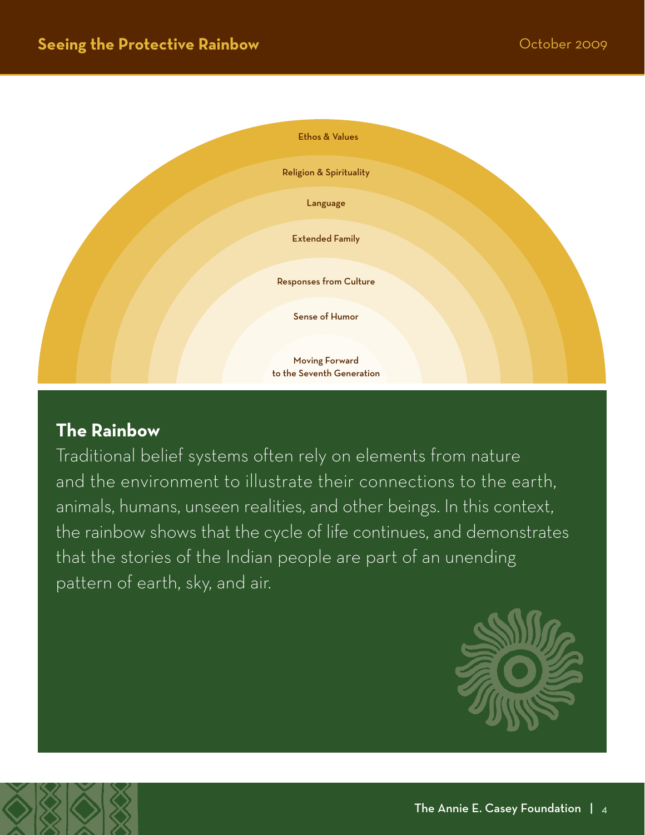

### **The Rainbow**

Traditional belief systems often rely on elements from nature and the environment to illustrate their connections to the earth, animals, humans, unseen realities, and other beings. In this context, the rainbow shows that the cycle of life continues, and demonstrates that the stories of the Indian people are part of an unending pattern of earth, sky, and air.

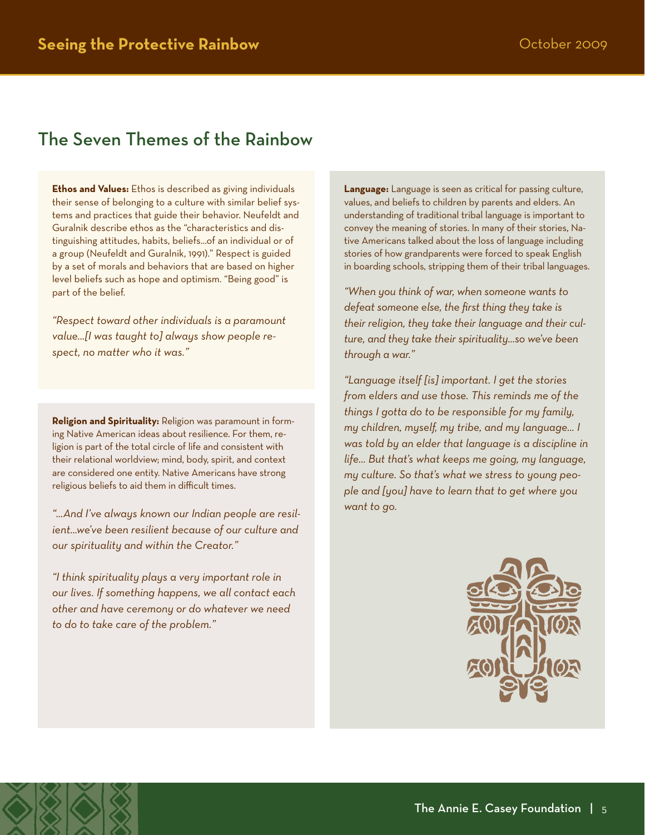### The Seven Themes of the Rainbow

**Ethos and Values:** Ethos is described as giving individuals their sense of belonging to a culture with similar belief systems and practices that guide their behavior. Neufeldt and Guralnik describe ethos as the "characteristics and distinguishing attitudes, habits, beliefs…of an individual or of a group (Neufeldt and Guralnik, 1991)." Respect is guided by a set of morals and behaviors that are based on higher level beliefs such as hope and optimism. "Being good" is part of the belief.

*"Respect toward other individuals is a paramount value…[I was taught to] always show people respect, no matter who it was."*

**Religion and Spirituality:** Religion was paramount in forming Native American ideas about resilience. For them, religion is part of the total circle of life and consistent with their relational worldview; mind, body, spirit, and context are considered one entity. Native Americans have strong religious beliefs to aid them in difficult times.

*"…And I've always known our Indian people are resilient…we've been resilient because of our culture and our spirituality and within the Creator."*

*"I think spirituality plays a very important role in our lives. If something happens, we all contact each other and have ceremony or do whatever we need to do to take care of the problem."*

**Language:** Language is seen as critical for passing culture, values, and beliefs to children by parents and elders. An understanding of traditional tribal language is important to convey the meaning of stories. In many of their stories, Native Americans talked about the loss of language including stories of how grandparents were forced to speak English in boarding schools, stripping them of their tribal languages.

*"When you think of war, when someone wants to defeat someone else, the first thing they take is their religion, they take their language and their culture, and they take their spirituality…so we've been through a war."*

*"Language itself [is] important. I get the stories from elders and use those. This reminds me of the things I gotta do to be responsible for my family, my children, myself, my tribe, and my language… I was told by an elder that language is a discipline in life… But that's what keeps me going, my language, my culture. So that's what we stress to young people and [you] have to learn that to get where you want to go.*

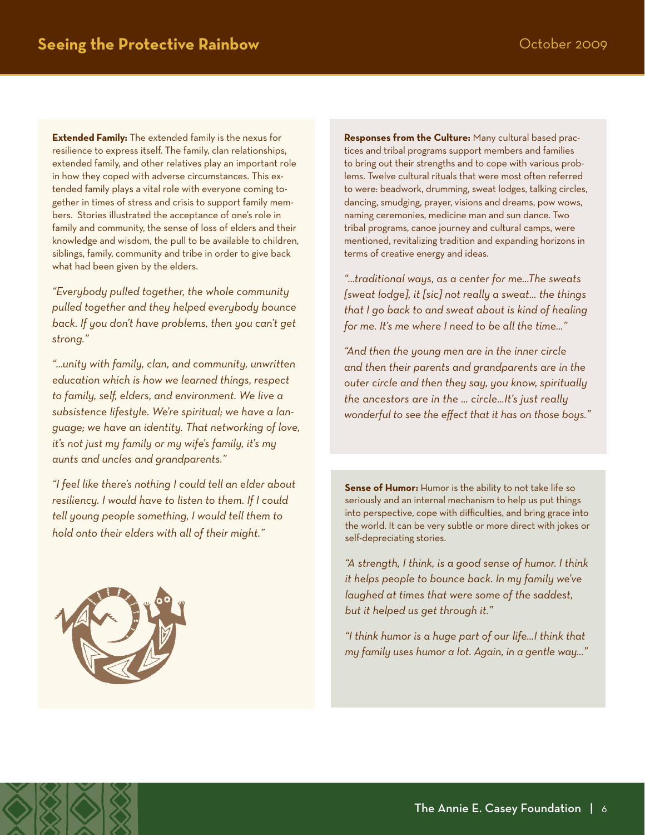**Extended Family:** The extended family is the nexus for resilience to express itself. The family, clan relationships, extended family, and other relatives play an important role in how they coped with adverse circumstances. This extended family plays a vital role with everyone coming together in times of stress and crisis to support family members. Stories illustrated the acceptance of one's role in family and community, the sense of loss of elders and their knowledge and wisdom, the pull to be available to children, siblings, family, community and tribe in order to give back what had been given by the elders.

*"Everybody pulled together, the whole community pulled together and they helped everybody bounce back. If you don't have problems, then you can't get strong."*

*"…unity with family, clan, and community, unwritten education which is how we learned things, respect to family, self, elders, and environment. We live a subsistence lifestyle. We're spiritual; we have a language; we have an identity. That networking of love, it's not just my family or my wife's family, it's my aunts and uncles and grandparents."* 

*"I feel like there's nothing I could tell an elder about resiliency. I would have to listen to them. If I could tell young people something, I would tell them to hold onto their elders with all of their might."*

**Responses from the Culture:** Many cultural based practices and tribal programs support members and families to bring out their strengths and to cope with various problems. Twelve cultural rituals that were most often referred to were: beadwork, drumming, sweat lodges, talking circles, dancing, smudging, prayer, visions and dreams, pow wows, naming ceremonies, medicine man and sun dance. Two tribal programs, canoe journey and cultural camps, were mentioned, revitalizing tradition and expanding horizons in terms of creative energy and ideas.

*"…traditional ways, as a center for me…The sweats [sweat lodge], it [sic] not really a sweat… the things that I go back to and sweat about is kind of healing for me. It's me where I need to be all the time…"*

*"And then the young men are in the inner circle and then their parents and grandparents are in the outer circle and then they say, you know, spiritually the ancestors are in the … circle…It's just really wonderful to see the effect that it has on those boys."*

**Sense of Humor:** Humor is the ability to not take life so seriously and an internal mechanism to help us put things into perspective, cope with difficulties, and bring grace into the world. It can be very subtle or more direct with jokes or self-depreciating stories.

*"A strength, I think, is a good sense of humor. I think it helps people to bounce back. In my family we've laughed at times that were some of the saddest, but it helped us get through it."*

*"I think humor is a huge part of our life…I think that my family uses humor a lot. Again, in a gentle way…"*

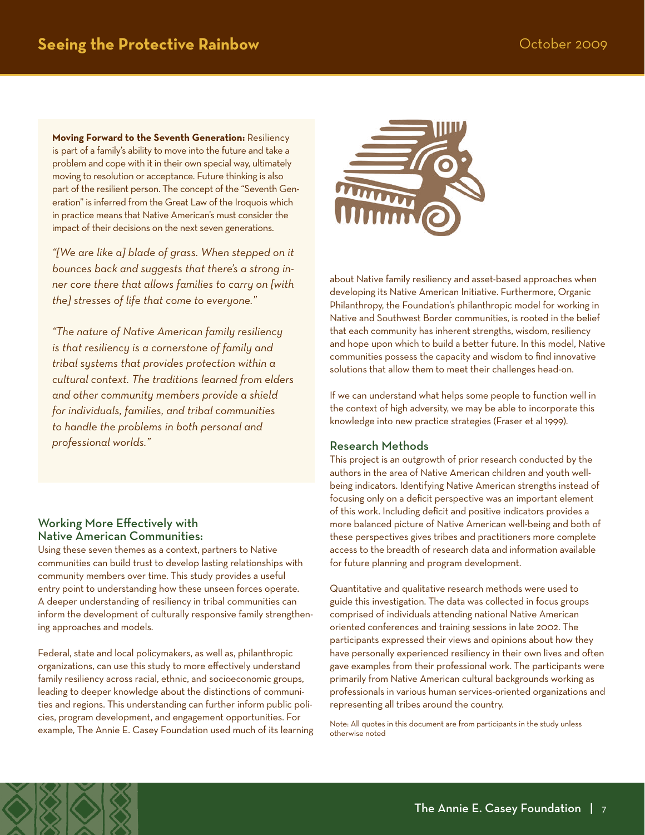**Moving Forward to the Seventh Generation:** Resiliency is part of a family's ability to move into the future and take a problem and cope with it in their own special way, ultimately moving to resolution or acceptance. Future thinking is also part of the resilient person. The concept of the "Seventh Generation" is inferred from the Great Law of the Iroquois which in practice means that Native American's must consider the impact of their decisions on the next seven generations.

*"[We are like a] blade of grass. When stepped on it bounces back and suggests that there's a strong inner core there that allows families to carry on [with the] stresses of life that come to everyone."*

*"The nature of Native American family resiliency is that resiliency is a cornerstone of family and tribal systems that provides protection within a cultural context. The traditions learned from elders and other community members provide a shield for individuals, families, and tribal communities to handle the problems in both personal and professional worlds."*

### Working More Effectively with Native American Communities:

Using these seven themes as a context, partners to Native communities can build trust to develop lasting relationships with community members over time. This study provides a useful entry point to understanding how these unseen forces operate. A deeper understanding of resiliency in tribal communities can inform the development of culturally responsive family strengthening approaches and models.

Federal, state and local policymakers, as well as, philanthropic organizations, can use this study to more effectively understand family resiliency across racial, ethnic, and socioeconomic groups, leading to deeper knowledge about the distinctions of communities and regions. This understanding can further inform public policies, program development, and engagement opportunities. For example, The Annie E. Casey Foundation used much of its learning



about Native family resiliency and asset-based approaches when developing its Native American Initiative. Furthermore, Organic Philanthropy, the Foundation's philanthropic model for working in Native and Southwest Border communities, is rooted in the belief that each community has inherent strengths, wisdom, resiliency and hope upon which to build a better future. In this model, Native communities possess the capacity and wisdom to find innovative solutions that allow them to meet their challenges head-on.

If we can understand what helps some people to function well in the context of high adversity, we may be able to incorporate this knowledge into new practice strategies (Fraser et al 1999).

### Research Methods

This project is an outgrowth of prior research conducted by the authors in the area of Native American children and youth wellbeing indicators. Identifying Native American strengths instead of focusing only on a deficit perspective was an important element of this work. Including deficit and positive indicators provides a more balanced picture of Native American well-being and both of these perspectives gives tribes and practitioners more complete access to the breadth of research data and information available for future planning and program development.

Quantitative and qualitative research methods were used to guide this investigation. The data was collected in focus groups comprised of individuals attending national Native American oriented conferences and training sessions in late 2002. The participants expressed their views and opinions about how they have personally experienced resiliency in their own lives and often gave examples from their professional work. The participants were primarily from Native American cultural backgrounds working as professionals in various human services-oriented organizations and representing all tribes around the country.

Note: All quotes in this document are from participants in the study unless otherwise noted